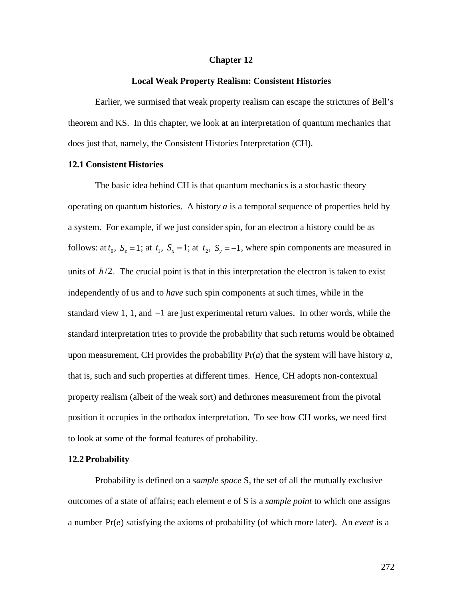#### **Chapter 12**

#### **Local Weak Property Realism: Consistent Histories**

Earlier, we surmised that weak property realism can escape the strictures of Bell's theorem and KS. In this chapter, we look at an interpretation of quantum mechanics that does just that, namely, the Consistent Histories Interpretation (CH).

#### **12.1 Consistent Histories**

The basic idea behind CH is that quantum mechanics is a stochastic theory operating on quantum histories. A histor*y a* is a temporal sequence of properties held by a system. For example, if we just consider spin, for an electron a history could be as follows: at  $t_0$ ,  $S_z = 1$ ; at  $t_1$ ,  $S_x = 1$ ; at  $t_2$ ,  $S_y = -1$ , where spin components are measured in independently of us and to *have* such spin components at such times, while in the units of  $\hbar/2$ . The crucial point is that in this interpretation the electron is taken to exist standard view 1, 1, and  $-1$  are just experimental return values. In other words, while the upon measurement, CH provides the probability  $Pr(a)$  that the system will have history  $a$ , standard interpretation tries to provide the probability that such returns would be obtained that is, such and such properties at different times. Hence, CH adopts non-contextual property realism (albeit of the weak sort) and dethrones measurement from the pivotal position it occupies in the orthodox interpretation. To see how CH works, we need first to look at some of the formal features of probability.

#### **12.2 Probability**

Probability is defined on a *sample space* S, the set of all the mutually exclusive outcomes of a state of affairs; each element *e* of S is a *sample point* to which one assigns a number Pr(*e*) satisfying the axioms of probability (of which more later). An *event* is a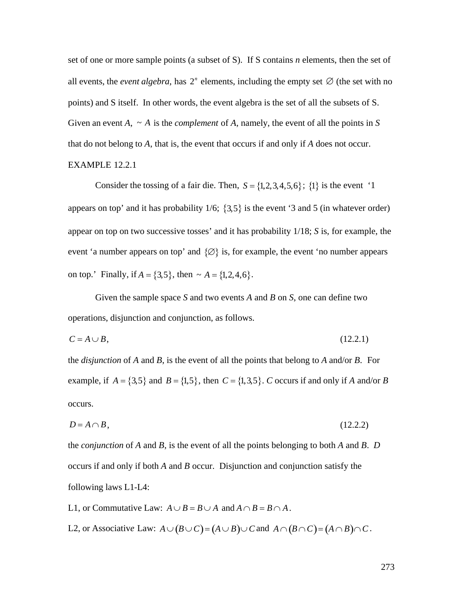set of one or more sample points (a subset of S). If S contains *n* elements, then the set of all events, the *event algebra*, has  $2^n$  elements, including the empty set  $\emptyset$  (the set with no Given an event  $A$ ,  $\sim A$  is the *complement* of  $A$ , namely, the event of all the points in  $S$ points) and S itself. In other words, the event algebra is the set of all the subsets of S. † EXAMPLE 12.2.1 that do not belong to *A*, that is, the event that occurs if and only if *A* does not occur.

Consider the tossing of a fair die. Then,  $S = \{1, 2, 3, 4, 5, 6\}$ ;  $\{1\}$  is the event '1  $\frac{1}{2}$  ,  $\frac{1}{2}$  ,  $\frac{1}{2}$  ,  $\frac{1}{2}$  ,  $\frac{1}{2}$  ,  $\frac{1}{2}$  ,  $\frac{1}{2}$  ,  $\frac{1}{2}$  ,  $\frac{1}{2}$  ,  $\frac{1}{2}$ appears on top' and it has probability  $1/6$ ;  $\{3,5\}$  is the event '3 and 5 (in whatever order) event 'a number appears on top' and  $\{\emptyset\}$  is, for example, the event 'no number appears appear on top on two successive tosses' and it has probability 1/18; *S* is, for example, the on top.' Finally, if  $A = \{3, 5\}$ , then  $\sim A = \{1, 2, 4, 6\}$ .

 $\mathbf{r}$ † † operations, disjunction and conjunction, as follows. Given the sample space *S* and two events *A* and *B* on *S*, one can define two

$$
C = A \cup B,\tag{12.2.1}
$$

the *disjunction* of *A* and *B*, is the event of all the points that belong to *A* and/or *B*. For example, if  $A = \{3,5\}$  and  $B = \{1,5\}$ , then  $C = \{1,3,5\}$ . *C* occurs if and only if *A* and/or *B* occurs.

$$
D = A \cap B,\tag{12.2.2}
$$

the *conjunction* of *A* and *B*, is the event of all the points belonging to both *A* and *B*. *D* occurs if and only if both *A* and *B* occur. Disjunction and conjunction satisfy the following laws L1-L4:

L1, or Commutative Law:  $A \cup B = B \cup A$  and  $A \cap B = B \cap A$ .

L2, or Associative Law:  $A \cup (B \cup C) = (A \cup B) \cup C$  and  $A \cap (B \cap C) = (A \cap B) \cap C$ .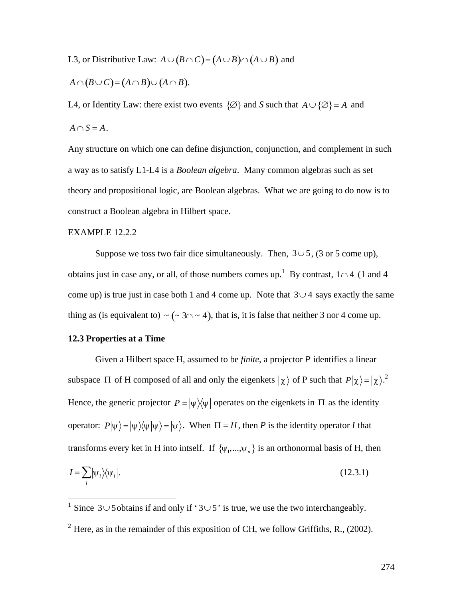L3, or Distributive Law:  $A \cup (B \cap C) = (A \cup B) \cap (A \cup B)$  and

$$
A \cap (B \cup C) = (A \cap B) \cup (A \cap B).
$$

L4, or Identity Law: there exist two events  $\{\varnothing\}$  and *S* such that  $A \cup \{\varnothing\} = A$  and  $A \cap S = A$ .

Any structure on which one can define disjunction, conjunction, and complement in such a way as to satisfy L1-L4 is a *Boolean algebra*. Many common algebras such as set theory and propositional logic, are Boolean algebras. What we are going to do now is to construct a Boolean algebra in Hilbert space.

# EXAMPLE 12.2.2

Suppose we toss two fair dice simultaneously. Then,  $3 \cup 5$ , (3 or 5 come up), come up) is true just in case both 1 and 4 come up. Note that  $3 \cup 4$  says exactly the same obtains just in case any, or all, of those numbers comes up.<sup>1</sup> By contrast,  $1 \cap 4$  (1 and 4 thing as (is equivalent to)  $\sim (\sim 3 \cap \sim 4)$ , that is, it is false that neither 3 nor 4 come up.

# **12.3 Properties at a Time**

Given a Hilbert space H, assumed to be *finite*, a projector *P* identifies a linear subspace  $\Pi$  of H composed of all and only the eigenkets  $|\chi\rangle$  of P such that  $P|\chi\rangle = |\chi\rangle^2$ . operator:  $P|\psi\rangle = |\psi\rangle\langle\psi|\psi\rangle = |\psi\rangle$ . When  $\Pi = H$ , then *P* is the identity operator *I* that Hence, the generic projector  $P = |\psi\rangle\langle\psi|$  operates on the eigenkets in  $\Pi$  as the identity the Hintern integral. If  $f(x) = f(x)$  is an embons transforms every ket in H into intself. If  $\{\psi_1, ..., \psi_n\}$  is an orthonormal basis of H, then

$$
I = \sum_{i} |\psi_i\rangle\langle\psi_i|.\tag{12.3.1}
$$

<sup>&</sup>lt;sup>1</sup> Since  $3\cup 5$  obtains if and only if ' $3\cup 5$ ' is true, we use the two interchangeably.

<sup>&</sup>lt;sup>2</sup> Here, as in the remainder of this exposition of CH, we follow Griffiths, R., (2002).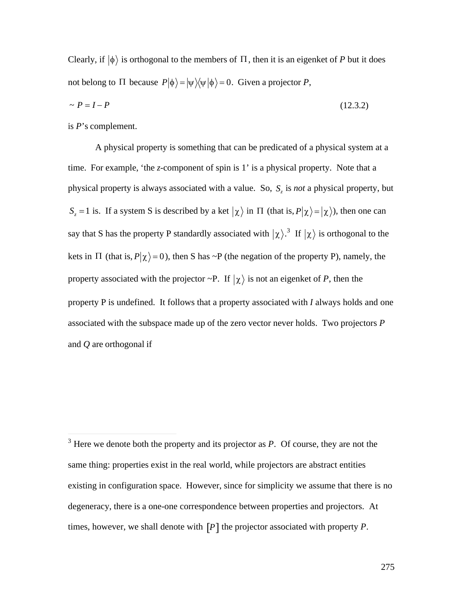Clearly, if  $|\phi\rangle$  is orthogonal to the members of  $\Pi$ , then it is an eigenket of *P* but it does not belong to  $\Pi$  because  $P|\phi\rangle = |\psi\rangle\langle\psi|\phi\rangle = 0$ . Given a projector *P*,

$$
\sim P = I - P \tag{12.3.2}
$$

is *P*'s complement.

 $\overline{a}$ 

A physical property is something that can be predicated of a physical system at a time. For example, 'the *z*-component of spin is 1' is a physical property. Note that a physical property is always associated with a value. So, *S<sup>z</sup>* is *not* a physical property, but say that S has the property P standardly associated with  $|\chi\rangle$ .<sup>3</sup> If  $|\chi\rangle$  is orthogonal to the  $S_z = 1$  is. If a system S is described by a ket  $|\chi\rangle$  in  $\Pi$  (that is,  $P|\chi\rangle = |\chi\rangle$ ), then one can kets in  $\Pi$  (that is,  $P|\chi\rangle = 0$ ), then S has ~P (the negation of the property P), namely, the property associated with the projector ~P. If  $|\chi\rangle$  is not an eigenket of *P*, then the  $\mathbf{p}^{\star}$ † associated with the subspace made up of the zero vector never holds. Two projectors *P* property P is undefined. It follows that a property associated with *I* always holds and one and *Q* are orthogonal if

 $3$  Here we denote both the property and its projector as  $P$ . Of course, they are not the same thing: properties exist in the real world, while projectors are abstract entities existing in configuration space. However, since for simplicity we assume that there is no degeneracy, there is a one-one correspondence between properties and projectors. At times, however, we shall denote with [*P*] the projector associated with property *P*.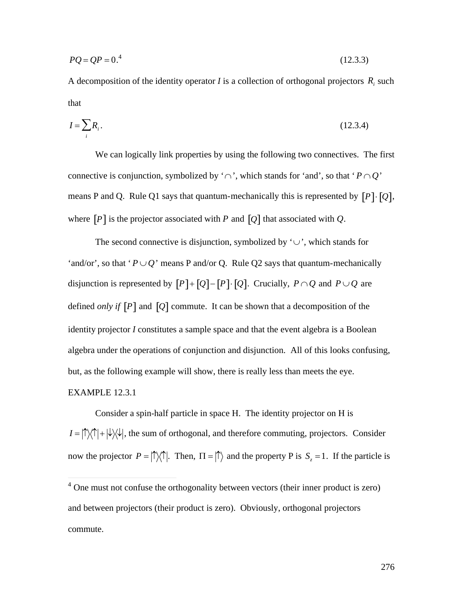$$
PQ = QP = 0.^4 \tag{12.3.3}
$$

A decomposition of the identity operator  $I$  is a collection of orthogonal projectors  $R_i$  such that

$$
I = \sum_{i} R_i. \tag{12.3.4}
$$

We can logically link properties by using the following two connectives. The first connective is conjunction, symbolized by ' $\cap$ ', which stands for 'and', so that ' $P \cap Q$ ' where  $[P]$  is the projector associated with *P* and  $[Q]$  that associated with *Q*. means P and Q. Rule Q1 says that quantum-mechanically this is represented by  $[P] \cdot [Q]$ ,

 $\mathbf{r}$ 'and/or', so that ' $P \cup Q$ ' means P and/or Q. Rule Q2 says that quantum-mechanically The second connective is disjunction, symbolized by  $\vee$ , which stands for disjunction is represented by  $[P] + [Q] - [P] \cdot [Q]$ . Crucially,  $P \cap Q$  and  $P \cup Q$  are defined *only if*  $[P]$  and  $[Q]$  commute. It can be shown that a decomposition of the  $\vec{r}$  +  $\vec{r}$  +  $\vec{r}$  +  $\vec{r}$  +  $\vec{r}$  +  $\vec{r}$  +  $\vec{r}$  +  $\vec{r}$  +  $\vec{r}$  +  $\vec{r}$  +  $\vec{r}$  +  $\vec{r}$  +  $\vec{r}$  +  $\vec{r}$  +  $\vec{r}$  +  $\vec{r}$  +  $\vec{r}$  +  $\vec{r}$  +  $\vec{r}$  +  $\vec{r}$  +  $\vec{r}$  +  $\vec{r}$  + algebra under the operations of conjunction and disjunction. All of this looks confusing, identity projector *I* constitutes a sample space and that the event algebra is a Boolean but, as the following example will show, there is really less than meets the eye. EXAMPLE 12.3.1

Consider a spin-half particle in space H. The identity projector on H is  $I = |\uparrow\rangle\langle\uparrow| + |\downarrow\rangle\langle\downarrow|$ , the sum of orthogonal, and therefore commuting, projectors. Consider now the projector  $P = |\hat{I}| \langle \hat{I}|$ . Then,  $\Pi = |\hat{I}|$  and the property P is  $S_z = 1$ . If the particle is

 $\overline{a}$ 

<sup>&</sup>lt;sup>4</sup> One must not confuse the orthogonality between vectors (their inner product is zero) and between projectors (their product is zero). Obviously, orthogonal projectors commute.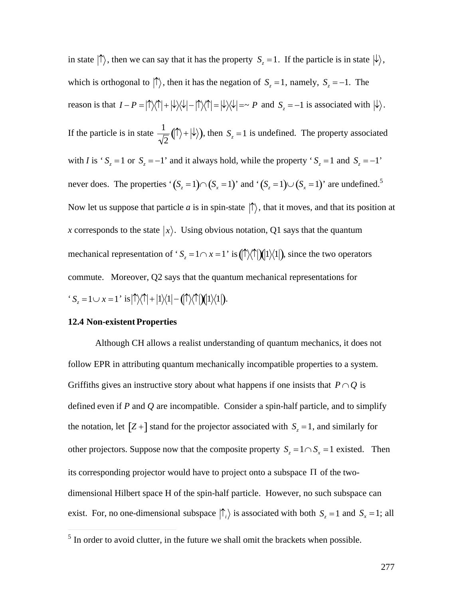in state  $|\!\uparrow\rangle$ , then we can say that it has the property  $S_z = 1$ . If the particle is in state  $|\!\downarrow\rangle$ , reason is that  $I - P = |\!\!\uparrow\rangle\langle\!\!\uparrow| + |\!\!\downarrow\rangle\langle\!\!\downarrow| - |\!\!\uparrow\rangle\langle\!\!\uparrow| = |\!\!\downarrow\rangle\langle\!\!\downarrow| = \sim P$  and  $S_z = -1$  is associated with  $|\!\!\downarrow\rangle$ . which is orthogonal to  $|\uparrow\rangle$ , then it has the negation of  $S_z = 1$ , namely,  $S_z = -1$ . The  $\mathbf{1}$  $\sqrt{2}$ If the particle is in state  $\frac{1}{\sqrt{2}}(|\uparrow\rangle + |\downarrow\rangle)$ never does. The properties ' $(S_z = 1) \cap (S_x = 1)$ ' and ' $(S_z = 1) \cup (S_x = 1)$ ' are undefined.<sup>5</sup>  $\frac{1}{2}$  ( $\uparrow$ ) +  $\downarrow$ ), then *S<sub>z</sub>* = 1 is undefined. The property associated with *I* is ' $S_z = 1$  or  $S_z = -1$ ' and it always hold, while the property ' $S_z = 1$  and  $S_z = -1$ ' † † † † x corresponds to the state  $|x\rangle$ . Using obvious notation, Q1 says that the quantum Now let us suppose that particle *a* is in spin-state  $|\uparrow\rangle$ , that it moves, and that its position at  $\mathbb{R}^2$ mechanical representation of ' $S_z = 1 \cap x = 1$ ' is  $(\uparrow \wedge \uparrow)(1) \vee (1)$ , since the two operators  $S_z = 1 \cup x = 1$ ' is  $|\!\!\uparrow\rangle\langle\!\!\uparrow\!| + |1\rangle\langle1| - (\!\!\!\mid\uparrow\rangle\langle\!\!\uparrow\!|)(\!\!\!\mid\!1\rangle\langle1|).$ commute. Moreover, Q2 says that the quantum mechanical representations for

#### **12.4 Non-existent Properties**

 $\overline{a}$ 

† Although CH allows a realist understanding of quantum mechanics, it does not follow EPR in attributing quantum mechanically incompatible properties to a system. Griffiths gives an instructive story about what happens if one insists that  $P \cap Q$  is the notation, let  $[Z+]$  stand for the projector associated with  $S_z = 1$ , and similarly for defined even if *P* and *Q* are incompatible. Consider a spin-half particle, and to simplify its corresponding projector would have to project onto a subspace  $\Pi$  of the twoother projectors. Suppose now that the composite property  $S_z = 1 \cap S_x = 1$  existed. Then dimensional Hilbert space H of the spin-half particle. However, no such subspace can exist. For, no one-dimensional subspace  $\vert \hat{\ } \vert_i \rangle$  is associated with both  $S_z = 1$  and  $S_x = 1$ ; all

 $<sup>5</sup>$  In order to avoid clutter, in the future we shall omit the brackets when possible.</sup>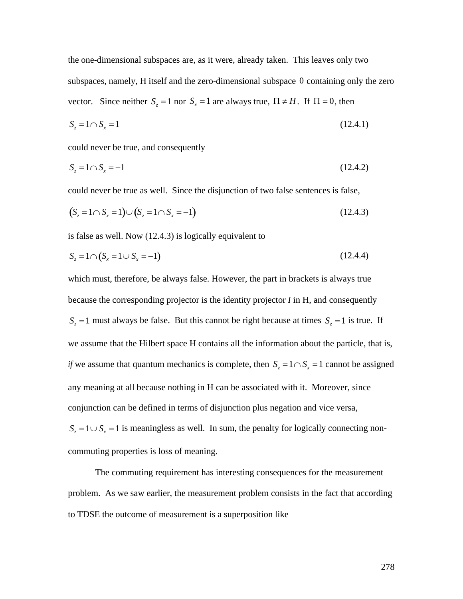the one-dimensional subspaces are, as it were, already taken. This leaves only two subspaces, namely, H itself and the zero-dimensional subspace 0 containing only the zero vector. Since neither  $S_z = 1$  nor  $S_x = 1$  are always true,  $\Pi \neq H$ . If  $\Pi = 0$ , then

$$
S_z = 1 \cap S_x = 1 \tag{12.4.1}
$$

† 1955 - 2005 - 2006 -<br>Personalisation could never be true, and consequently

$$
S_z = 1 \cap S_x = -1 \tag{12.4.2}
$$

could never be true as well. Since the disjunction of two false sentences is false,

$$
(S_z = 1 \cap S_x = 1) \cup (S_z = 1 \cap S_x = -1)
$$
\n(12.4.3)

is false as well. Now (12.4.3) is logically equivalent to

$$
S_z = 1 \cap (S_x = 1 \cup S_x = -1) \tag{12.4.4}
$$

which must, therefore, be always false. However, the part in brackets is always true because the corresponding projector is the identity projector *I* in H, and consequently  $S_z = 1$  must always be false. But this cannot be right because at times  $S_z = 1$  is true. If *if* we assume that quantum mechanics is complete, then  $S_z = 1 \cap S_x = 1$  cannot be assigned we assume that the Hilbert space H contains all the information about the particle, that is, † conjunction can be defined in terms of disjunction plus negation and vice versa, any meaning at all because nothing in H can be associated with it. Moreover, since  $S_z = 1 \cup S_x = 1$  is meaningless as well. In sum, the penalty for logically connecting noncommuting properties is loss of meaning.

The commuting requirement has interesting consequences for the measurement problem. As we saw earlier, the measurement problem consists in the fact that according to TDSE the outcome of measurement is a superposition like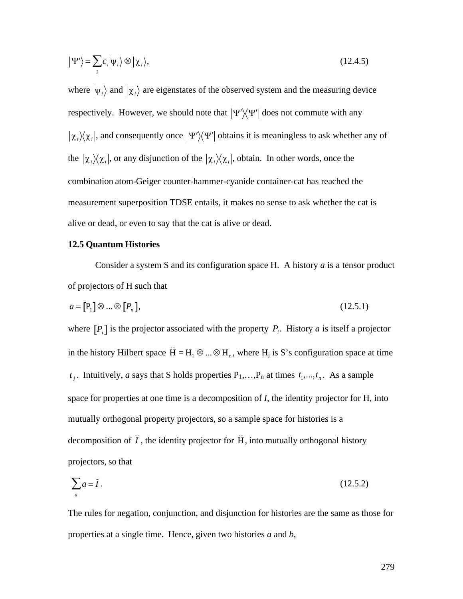$$
|\Psi'\rangle = \sum_{i} c_i |\psi_i\rangle \otimes |\chi_i\rangle, \qquad (12.4.5)
$$

where  $|\psi_i\rangle$  and  $|\chi_i\rangle$  are eigenstates of the observed system and the measuring device  $|\chi_i\rangle\langle\chi_i|$ , and consequently once  $|\Psi'\rangle\langle\Psi'|$  obtains it is meaningless to ask whether any of respectively. However, we should note that  $|\Psi'\rangle\langle\Psi'|$  does not commute with any the  $|\chi_i\rangle\langle\chi_i|$ , or any disjunction of the  $|\chi_i\rangle\langle\chi_i|$ , obtain. In other words, once the †  $\mathcal{L}^{\text{th}}$ measurement superposition TDSE entails, it makes no sense to ask whether the cat is combination atom-Geiger counter-hammer-cyanide container-cat has reached the alive or dead, or even to say that the cat is alive or dead.

#### **12.5 Quantum Histories**

Consider a system S and its configuration space H. A history *a* is a tensor product of projectors of H such that

$$
a = \begin{bmatrix} P_1 \end{bmatrix} \otimes \dots \otimes \begin{bmatrix} P_n \end{bmatrix},\tag{12.5.1}
$$

where  $[P_i]$  is the projector associated with the property  $P_i$ . History *a* is itself a projector  $\mathbf{r} = \mathbf{r} + \mathbf{r}$ in the history Hilbert space  $\breve{H} = H_1 \otimes ... \otimes H_n$ , where  $H_j$  is S's configuration space at time  $\mathcal{L}^{\text{th}}$ *t*<sub>j</sub>. Intuitively, *a* says that S holds properties  $P_1, ..., P_n$  at times  $t_1, ..., t_n$ . As a sample † mutually orthogonal property projectors, so a sample space for histories is a space for properties at one time is a decomposition of *I*, the identity projector for H, into decomposition of  $\tilde{I}$ , the identity projector for  $\tilde{H}$ , into mutually orthogonal history projectors, so that

$$
\sum_{a} a = \breve{I} \,. \tag{12.5.2}
$$

The rules for negation, conjunction, and disjunction for histories are the same as those for properties at a single time. Hence, given two histories *a* and *b*,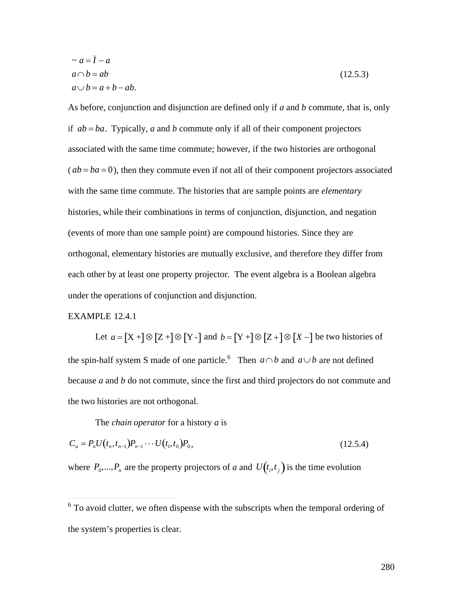$$
\sim a = \breve{I} - a
$$
  
\n
$$
a \cap b = ab
$$
  
\n
$$
a \cup b = a + b - ab.
$$
\n(12.5.3)

As before, conjunction and disjunction are defined only if *a* and *b* commute, that is, only if *ab* = *ba*. Typically, *a* and *b* commute only if all of their component projectors associated with the same time commute; however, if the two histories are orthogonal  $(ab = ba = 0)$ , then they commute even if not all of their component projectors associated with the same time commute. The histories that are sample points are *elementary* histories, while their combinations in terms of conjunction, disjunction, and negation (events of more than one sample point) are compound histories. Since they are orthogonal, elementary histories are mutually exclusive, and therefore they differ from each other by at least one property projector. The event algebra is a Boolean algebra under the operations of conjunction and disjunction.

# EXAMPLE 12.4.1

Let  $a = [X +] \otimes [Z +] \otimes [Y -]$  and  $b = [Y +] \otimes [Z +] \otimes [X -]$  be two histories of because  $a$  and  $b$  do not commute, since the first and third projectors do not commute and the spin-half system S made of one particle.<sup>6</sup> Then  $a \cap b$  and  $a \cup b$  are not defined the two histories are not orthogonal.

The *chain operator* for a history *a* is

$$
C_a = P_n U(t_n, t_{n-1}) P_{n-1} \cdots U(t_1, t_0) P_0,
$$
\n(12.5.4)

where  $P_0$ ,..., $P_n$  are the property projectors of *a* and  $U(t_i, t_j)$  is the time evolution

 $<sup>6</sup>$  To avoid clutter, we often dispense with the su</sup> <sup>6</sup> To avoid clutter, we often dispense with the subscripts when the temporal ordering of the system's properties is clear.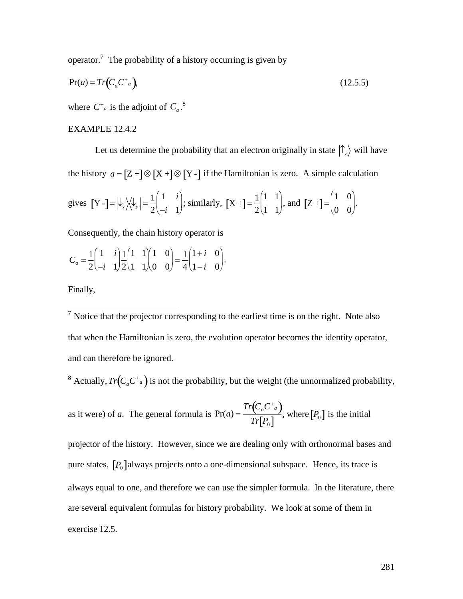operator.<sup>7</sup> The probability of a history occurring is given by

$$
Pr(a) = Tr\left(C_a C^{\dagger}{}_a\right),\tag{12.5.5}
$$

where  $C^{\dagger}_{a}$  is the adjoint of  $C_{a}$ <sup>8</sup>

# EXAMPLE 12.4.2

Let us determine the probability that an electron originally in state  $|\hat{\Gamma}_z\rangle$  will have the history  $a = [Z +] \otimes [X +] \otimes [Y -]$  if the Hamiltonian is zero. A simple calculation

gives 
$$
[Y - ] = |\psi_y\rangle\langle\psi_y| = \frac{1}{2} \begin{pmatrix} 1 & i \\ -i & 1 \end{pmatrix}
$$
; similarly,  $[X + ] = \frac{1}{2} \begin{pmatrix} 1 & 1 \\ 1 & 1 \end{pmatrix}$ , and  $[Z + ] = \begin{pmatrix} 1 & 0 \\ 0 & 0 \end{pmatrix}$ .

Consequently, the chain history operator is

$$
C_a = \frac{1}{2} \begin{pmatrix} 1 & i \\ -i & 1 \end{pmatrix} \frac{1}{2} \begin{pmatrix} 1 & 1 \\ 1 & 1 \end{pmatrix} \begin{pmatrix} 1 & 0 \\ 0 & 0 \end{pmatrix} = \frac{1}{4} \begin{pmatrix} 1+i & 0 \\ 1-i & 0 \end{pmatrix}.
$$

Finally,

<sup>7</sup> Notice that the projector corresponding to the earliest time is on the right. Note also that when the Hamiltonian is zero, the evolution operator becomes the identity operator, and can therefore be ignored.

<sup>8</sup> Actually,  $Tr(C_a C^a)$  is not the probability, but the weight (the unnormalized probability,

as it were) of *a*. The general formula is  $Pr(a) = \frac{Tr(C_a C^+_{a})}{T \cdot S_a}$ , where [*i*  $\frac{C_a - C_a}{Tr[P_0]}$ , where  $[P_0]$  is the initial

pure states,  $[P_0]$ always projects onto a one-dimensional subspace. Hence, its trace is projector of the history. However, since we are dealing only with orthonormal bases and are several equivalent formulas for history probability. We look at some of them in always equal to one, and therefore we can use the simpler formula. In the literature, there exercise 12.5.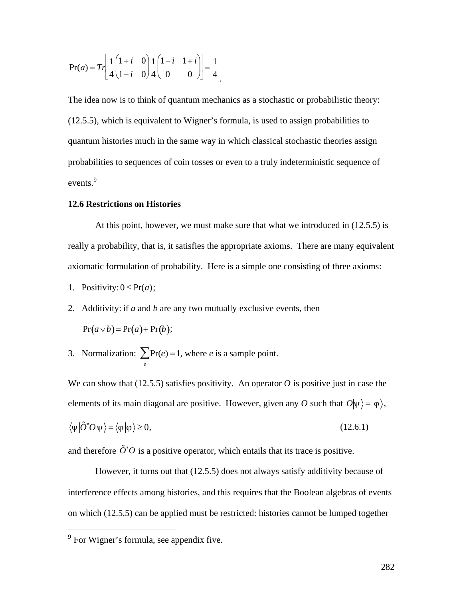$$
Pr(a) = Tr \left[ \frac{1}{4} \begin{pmatrix} 1+i & 0 \\ 1-i & 0 \end{pmatrix} \frac{1}{4} \begin{pmatrix} 1-i & 1+i \\ 0 & 0 \end{pmatrix} \right] = \frac{1}{4}
$$

The idea now is to think of quantum mechanics as a stochastic or probabilistic theory: (12.5.5), which is equivalent to Wigner's formula, is used to assign probabilities to quantum histories much in the same way in which classical stochastic theories assign probabilities to sequences of coin tosses or even to a truly indeterministic sequence of events. $9$ 

#### **12.6 Restrictions on Histories**

At this point, however, we must make sure that what we introduced in (12.5.5) is really a probability, that is, it satisfies the appropriate axioms. There are many equivalent axiomatic formulation of probability. Here is a simple one consisting of three axioms:

- 1. Positivity:  $0 \leq Pr(a)$ ;
- 2. Additivity: if *a* and *b* are any two mutually exclusive events, then

$$
Pr(a \vee b) = Pr(a) + Pr(b);
$$

3. Normalization:  $\sum_{e} Pr(e) = 1$ , where *e* is a sample point.

elements of its main diagonal are positive. However, given any *O* such that  $O|\psi\rangle = |\phi\rangle$ , We can show that  $(12.5.5)$  satisfies positivity. An operator O is positive just in case the

$$
\langle \psi | \tilde{O}^* O | \psi \rangle = \langle \phi | \phi \rangle \ge 0, \tag{12.6.1}
$$

 $\mathbb{Z}^{\mathbb{Z}^{\times}}$ and therefore  $\tilde{O}^*O$  is a positive operator, which entails that its trace is positive.

interference effects among histories, and this requires that the Boolean algebras of events However, it turns out that (12.5.5) does not always satisfy additivity because of on which (12.5.5) can be applied must be restricted: histories cannot be lumped together

 $\overline{a}$ 

<sup>&</sup>lt;sup>9</sup> For Wigner's formula, see appendix five.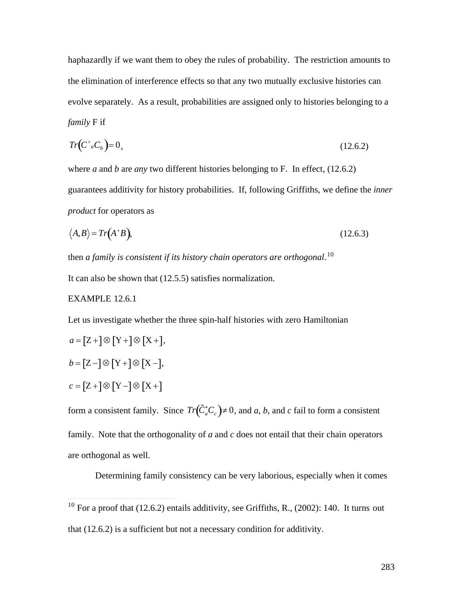haphazardly if we want them to obey the rules of probability. The restriction amounts to the elimination of interference effects so that any two mutually exclusive histories can evolve separately. As a result, probabilities are assigned only to histories belonging to a *family* F if

$$
Tr(C^* {}_aC_b)=0,
$$
\n
$$
(12.6.2)
$$

where *a* and *b* are *any* two different histories belonging to F. In effect, (12.6.2) guarantees additivity for history probabilities. If, following Griffiths, we define the *inner product* for operators as

$$
\langle A, B \rangle = Tr(A^+B), \tag{12.6.3}
$$

then *a family is consistent if its history chain operators are orthogonal*. 10

It can also be shown that (12.5.5) satisfies normalization.

# EXAMPLE 12.6.1

 $\overline{a}$ 

Let us investigate whether the three spin-half histories with zero Hamiltonian

$$
a = [Z + ] \otimes [Y + ] \otimes [X +],
$$
  
\n
$$
b = [Z - ] \otimes [Y + ] \otimes [X -],
$$
  
\n
$$
c = [Z + ] \otimes [Y - ] \otimes [X +]
$$

form a consistent family. Since  $Tr(\tilde{C}_a^*C_c) \neq 0$ , and *a*, *b*, and *c* fail to form a consistent family. Note that the orthogonality of *a* and *c* does not entail that their chain operators are orthogonal as well.

Determining family consistency can be very laborious, especially when it comes

<sup>&</sup>lt;sup>10</sup> For a proof that  $(12.6.2)$  entails additivity, see Griffiths, R.,  $(2002)$ : 140. It turns out that (12.6.2) is a sufficient but not a necessary condition for additivity.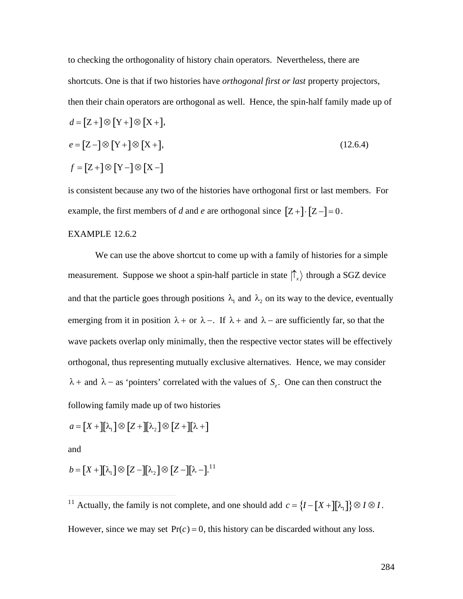to checking the orthogonality of history chain operators. Nevertheless, there are shortcuts. One is that if two histories have *orthogonal first or last* property projectors, then their chain operators are orthogonal as well. Hence, the spin-half family made up of

$$
d = [Z + ]\otimes [Y + ]\otimes [X +],
$$
  
\n
$$
e = [Z - ]\otimes [Y + ]\otimes [X +],
$$
  
\n
$$
f = [Z + ]\otimes [Y - ]\otimes [X -]
$$
  
\n(12.6.4)

is consistent because any two of the histories have orthogonal first or last members. For example, the first members of *d* and *e* are orthogonal since  $[Z+] \cdot [Z -] = 0$ .

# EXAMPLE 12.6.2

We can use the above shortcut to come up with a family of histories for a simple measurement. Suppose we shoot a spin-half particle in state  $|\uparrow_x\rangle$  through a SGZ device emerging from it in position  $\lambda$  + or  $\lambda$  -. If  $\lambda$  + and  $\lambda$  - are sufficiently far, so that the and that the particle goes through positions  $\lambda_1$  and  $\lambda_2$  on its way to the device, eventually wave packets overlap only minimally, then the respective vector states will be effectively orthogonal, thus representing mutually exclusive alternatives. Hence, we may consider  $\lambda$  + and  $\lambda$  – as 'pointers' correlated with the values of  $S_z$ . One can then construct the following family made up of two histories

$$
a = [X +][\lambda_1] \otimes [Z +][\lambda_2] \otimes [Z +][\lambda +]
$$

and

 $\overline{a}$ 

 $b = [X + ][\lambda_1] \otimes [Z - ][\lambda_2] \otimes [Z - ][\lambda - ]^{11}$ 

<sup>11</sup> Actually, the family is not complete, and one should add  $c = \{I - [X +] [\lambda_1] \} \otimes I \otimes I$ . However, since we may set  $Pr(c) = 0$ , this history can be discarded without any loss.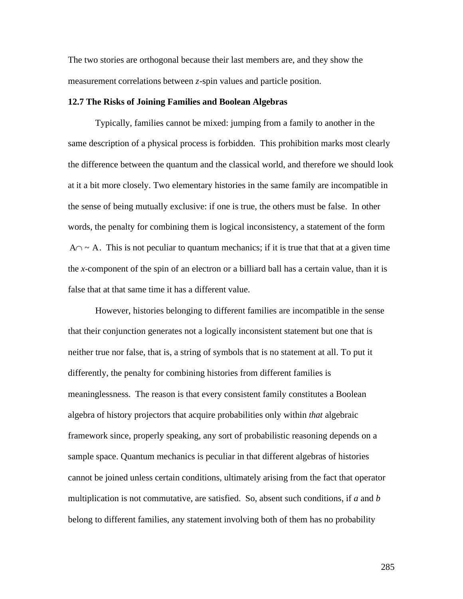The two stories are orthogonal because their last members are, and they show the measurement correlations between *z*-spin values and particle position.

#### **12.7 The Risks of Joining Families and Boolean Algebras**

Typically, families cannot be mixed: jumping from a family to another in the same description of a physical process is forbidden. This prohibition marks most clearly the difference between the quantum and the classical world, and therefore we should look at it a bit more closely. Two elementary histories in the same family are incompatible in the sense of being mutually exclusive: if one is true, the others must be false. In other words, the penalty for combining them is logical inconsistency, a statement of the form  $A \cap \sim A$ . This is not peculiar to quantum mechanics; if it is true that that at a given time the *x*-component of the spin of an electron or a billiard ball has a certain value, than it is false that at that same time it has a different value.

However, histories belonging to different families are incompatible in the sense that their conjunction generates not a logically inconsistent statement but one that is neither true nor false, that is, a string of symbols that is no statement at all. To put it differently, the penalty for combining histories from different families is meaninglessness. The reason is that every consistent family constitutes a Boolean algebra of history projectors that acquire probabilities only within *that* algebraic framework since, properly speaking, any sort of probabilistic reasoning depends on a sample space. Quantum mechanics is peculiar in that different algebras of histories cannot be joined unless certain conditions, ultimately arising from the fact that operator multiplication is not commutative, are satisfied. So, absent such conditions, if *a* and *b* belong to different families, any statement involving both of them has no probability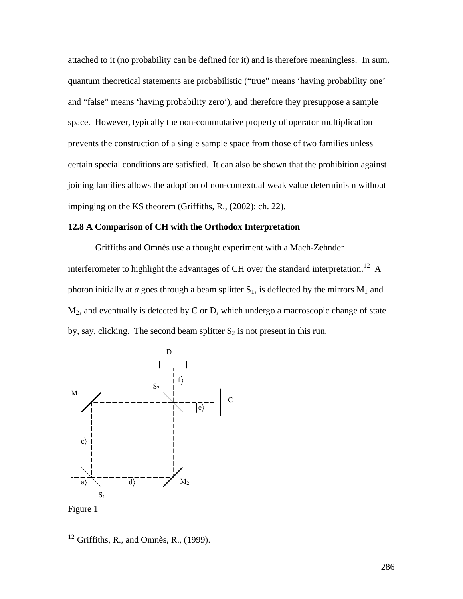attached to it (no probability can be defined for it) and is therefore meaningless. In sum, quantum theoretical statements are probabilistic ("true" means 'having probability one' and "false" means 'having probability zero'), and therefore they presuppose a sample space. However, typically the non-commutative property of operator multiplication prevents the construction of a single sample space from those of two families unless certain special conditions are satisfied. It can also be shown that the prohibition against joining families allows the adoption of non-contextual weak value determinism without impinging on the KS theorem (Griffiths, R., (2002): ch. 22).

#### **12.8 A Comparison of CH with the Orthodox Interpretation**

Griffiths and Omnès use a thought experiment with a Mach-Zehnder interferometer to highlight the advantages of CH over the standard interpretation.<sup>12</sup> A photon initially at *a* goes through a beam splitter  $S_1$ , is deflected by the mirrors  $M_1$  and  $M_2$ , and eventually is detected by C or D, which undergo a macroscopic change of state by, say, clicking. The second beam splitter  $S_2$  is not present in this run.



 $12$  Griffiths, R., and Omnès, R., (1999).

 $\overline{a}$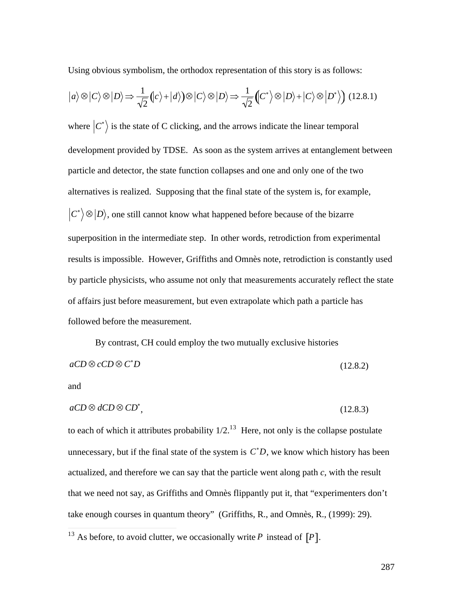Using obvious symbolism, the orthodox representation of this story is as follows:

$$
|a\rangle \otimes |C\rangle \otimes |D\rangle \Rightarrow \frac{1}{\sqrt{2}} (|c\rangle + |d\rangle) \otimes |C\rangle \otimes |D\rangle \Rightarrow \frac{1}{\sqrt{2}} (|C^*\rangle \otimes |D\rangle + |C\rangle \otimes |D^*\rangle) \tag{12.8.1}
$$

where  $|C^*\rangle$  is the state of C clicking, and the arrows indicate the linear temporal † particle and detector, the state function collapses and one and only one of the two development provided by TDSE. As soon as the system arrives at entanglement between alternatives is realized. Supposing that the final state of the system is, for example,  $\langle C^* \rangle \otimes |D\rangle$ , one still cannot know what happened before because of the bizarre superposition in the intermediate step. In other words, retrodiction from experimental results is impossible. However, Griffiths and Omnès note, retrodiction is constantly used by particle physicists, who assume not only that measurements accurately reflect the state of affairs just before measurement, but even extrapolate which path a particle has followed before the measurement.

By contrast, CH could employ the two mutually exclusive histories  $aCD \otimes cCD \otimes C^*D$  $*D$  (12.8.2)

and

 $\overline{\phantom{a}}$ 

$$
aCD \otimes dCD \otimes CD^*,\tag{12.8.3}
$$

to each of which it attributes probability  $1/2$ <sup>13</sup> Here, not only is the collapse postulate unnecessary, but if the final state of the system is  $C^*D$ , we know which history has been that we need not say, as Griffiths and Omnès flippantly put it, that "experimenters don't actualized, and therefore we can say that the particle went along path *c*, with the result take enough courses in quantum theory" (Griffiths, R., and Omnès, R., (1999): 29).

<sup>&</sup>lt;sup>13</sup> As before, to avoid clutter, we occasionally write P instead of  $[P]$ .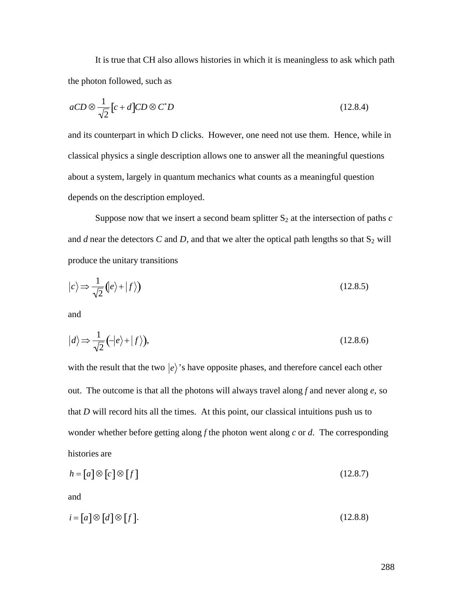It is true that CH also allows histories in which it is meaningless to ask which path the photon followed, such as

$$
aCD \otimes \frac{1}{\sqrt{2}} \left[ c + d \right] CD \otimes C^* D \tag{12.8.4}
$$

and its counterpart in which D clicks. However, one need not use them. Hence, while in classical physics a single description allows one to answer all the meaningful questions about a system, largely in quantum mechanics what counts as a meaningful question depends on the description employed.

Suppose now that we insert a second beam splitter  $S_2$  at the intersection of paths  $c$ and  $d$  near the detectors  $C$  and  $D$ , and that we alter the optical path lengths so that  $S_2$  will produce the unitary transitions

$$
|c\rangle \Rightarrow \frac{1}{\sqrt{2}} (|e\rangle + |f\rangle) \tag{12.8.5}
$$

and

$$
|d\rangle \Rightarrow \frac{1}{\sqrt{2}}(-|e\rangle + |f\rangle),\tag{12.8.6}
$$

with the result that the two  $|e\rangle$ 's have opposite phases, and therefore cancel each other that  $D$  will record hits all the times. At this point, our classical intuitions push us to out. The outcome is that all the photons will always travel along *f* and never along *e*, so wonder whether before getting along *f* the photon went along *c* or *d*. The corresponding histories are

$$
h = [a] \otimes [c] \otimes [f] \tag{12.8.7}
$$

and

$$
i = [a] \otimes [d] \otimes [f]. \tag{12.8.8}
$$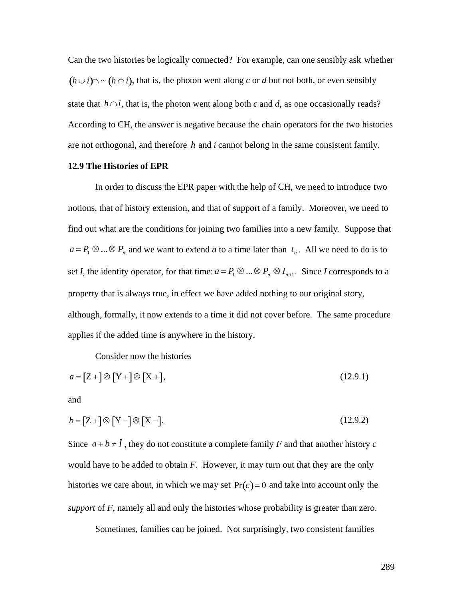Can the two histories be logically connected? For example, can one sensibly ask whether  $(h \cup i) \sim (h \cap i)$ , that is, the photon went along *c* or *d* but not both, or even sensibly state that  $h \cap i$ , that is, the photon went along both *c* and *d*, as one occasionally reads? are not orthogonal, and therefore *h* and *i* cannot belong in the same consistent family. According to CH, the answer is negative because the chain operators for the two histories

#### **12.9 The Histories of EPR**

In order to discuss the EPR paper with the help of CH, we need to introduce two notions, that of history extension, and that of support of a family. Moreover, we need to find out what are the conditions for joining two families into a new family. Suppose that  $a = P_1 \otimes ... \otimes P_n$  and we want to extend *a* to a time later than  $t_n$ . All we need to do is to † property that is always true, in effect we have added nothing to our original story, set *I*, the identity operator, for that time:  $a = P_1 \otimes ... \otimes P_n \otimes I_{n+1}$ . Since *I* corresponds to a although, formally, it now extends to a time it did not cover before. The same procedure applies if the added time is anywhere in the history.

Consider now the histories

$$
a = [Z + ]\otimes [Y + ]\otimes [X +], \tag{12.9.1}
$$

and

$$
b = [Z + ]\otimes [Y - ]\otimes [X - ]. \tag{12.9.2}
$$

Since  $a + b \neq \overline{I}$ , they do not constitute a complete family *F* and that another history *c* histories we care about, in which we may set  $Pr(c) = 0$  and take into account only the would have to be added to obtain *F*. However, it may turn out that they are the only *support* of *F*, namely all and only the histories whose probability is greater than zero.

Sometimes, families can be joined. Not surprisingly, two consistent families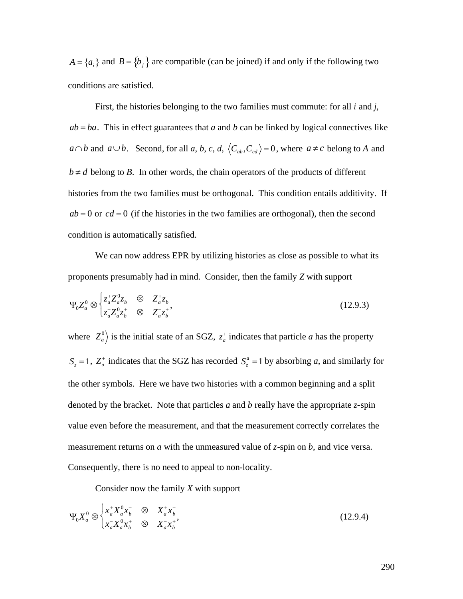$A = \{a_i\}$  and  $B = \{b_j\}$  are compatible (can be joined) if and only if the following two conditions are satisfied.

† First, the histories belonging to the two families must commute: for all *i* and *j*,  $ab = ba$ . This in effect guarantees that *a* and *b* can be linked by logical connectives like  $a \cap b$  and  $a \cup b$ . Second, for all *a*, *b*, *c*, *d*,  $\langle C_{ab}, C_{cd} \rangle = 0$ , where  $a \neq c$  belong to *A* and expressed to the two families must be orthogonal This conditional to the condition of the condition of the condition of the condition of the condition of the condition of the condition of the condition of the condition of  $b \neq d$  belong to *B*. In other words, the chain operators of the products of different histories from the two families must be orthogonal. This condition entails additivity. If  $ab = 0$  or  $cd = 0$  (if the histories in the two families are orthogonal), then the second condition is automatically satisfied.

We can now address EPR by utilizing histories as close as possible to what its proponents presumably had in mind. Consider, then the family *Z* with support

$$
\Psi_0 Z_a^0 \otimes \begin{cases} z_a^+ Z_a^0 z_b^- & \otimes Z_a^+ z_b^- \\ z_a^- Z_a^0 z_b^+ & \otimes Z_a^- z_b^+ \end{cases}
$$
 (12.9.3)

where  $\left| Z_a^0 \right>$  is the initial state of an SGZ,  $z_a^+$  indicates that particle *a* has the property the other symbols. Here we have two  $S_z = 1$ ,  $Z_a^+$  indicates that the SGZ has recorded  $S_z^a = 1$  by absorbing *a*, and similarly for denoted by the bracket. Note that particles  $a$  and  $b$  really have the appropriate  $z$ -spin the other symbols. Here we have two histories with a common beginning and a split value even before the measurement, and that the measurement correctly correlates the measurement returns on *a* with the unmeasured value of *z*-spin on *b*, and vice versa. Consequently, there is no need to appeal to non-locality.

Consider now the family *X* with support

$$
\Psi_0 X_a^0 \otimes \begin{cases} x_a^+ X_a^0 x_b^- & \text{if } X_a^+ x_b^- \\ x_a^- X_a^0 x_b^+ & \text{if } X_a^- x_b^+ \end{cases} \tag{12.9.4}
$$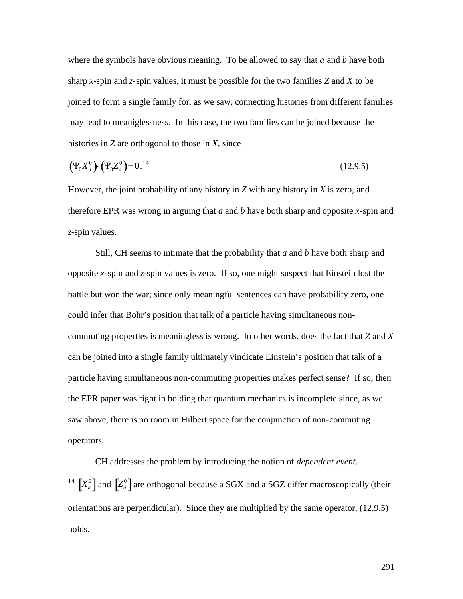where the symbols have obvious meaning. To be allowed to say that *a* and *b* have both sharp *x*-spin and *z*-spin values, it must be possible for the two families *Z* and *X* to be joined to form a single family for, as we saw, connecting histories from different families may lead to meaniglessness. In this case, the two families can be joined because the histories in *Z* are orthogonal to those in *X*, since

$$
(\Psi_0 X_a^0) \cdot (\Psi_0 Z_a^0) = 0.^{14} \tag{12.9.5}
$$

However, the joint probability of any history in *Z* with any history in *X* is zero, and therefore EPR was wrong in arguing that *a* and *b* have both sharp and opposite *x*-spin and *z*-spin values.

Still, CH seems to intimate that the probability that *a* and *b* have both sharp and opposite *x*-spin and *z*-spin values is zero. If so, one might suspect that Einstein lost the battle but won the war; since only meaningful sentences can have probability zero, one could infer that Bohr's position that talk of a particle having simultaneous noncommuting properties is meaningless is wrong. In other words, does the fact that *Z* and *X* can be joined into a single family ultimately vindicate Einstein's position that talk of a particle having simultaneous non-commuting properties makes perfect sense? If so, then the EPR paper was right in holding that quantum mechanics is incomplete since, as we saw above, there is no room in Hilbert space for the conjunction of non-commuting operators.

CH addresses the problem by introducing the notion of *dependent event*.  $\overline{a}$ <sup>14</sup>  $[X_a^0]$  and  $[Z_a^0]$  are orthogonal because a SGX and a SGZ differ macroscopically (their holds. orientations are perpendicular). Since they are multiplied by the same operator, (12.9.5)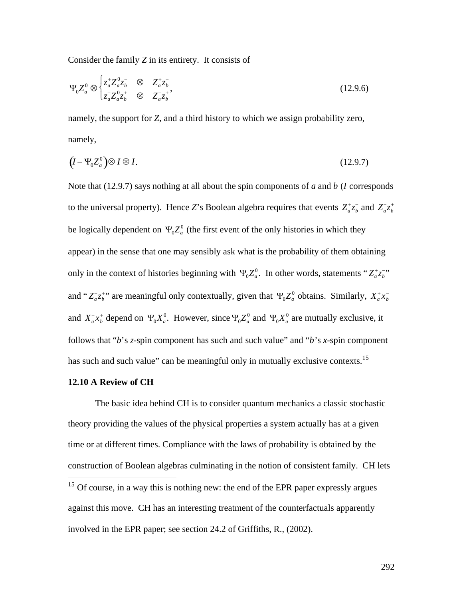Consider the family *Z* in its entirety. It consists of

$$
\Psi_0 Z_a^0 \otimes \begin{cases} z_a^+ Z_a^0 z_b^- & \otimes Z_a^+ z_b^- \\ z_a^- Z_a^0 z_b^+ & \otimes Z_a^- z_b^+ \end{cases}
$$
 (12.9.6)

namely, the support for *Z*, and a third history to which we assign probability zero, namely,

$$
(I - \Psi_0 Z_a^0) \otimes I \otimes I. \tag{12.9.7}
$$

Note that (12.9.7) says nothing at all about the spin components of *a* and *b* (*I* corresponds to the universal property). Hence *Z*'s Boolean algebra requires that events  $Z_a^+ z_b^-$  and  $Z_a^- z_b^+$ appear) in the sense that one may sensibly ask what is the probability of them obtaining be logically dependent on  $\Psi_0 Z_a^0$  (the first event of the only histories in which they only in the context of histories beginning with  $\Psi_0 Z_a^0$ . In other words, statements " $Z_a^* z_b^{-}$ "  $\mathbf{H}(\mathbf{Z}^0 = 1) \mathbf{H}(\mathbf{Y}^0 = 1)$  1 1 and " $Z_a^- z_b^+$ " are meaningful only contextually, given that  $\Psi_0 Z_a^0$  obtains. Similarly,  $X_a^+ x_b^-$ † † † follows that "*b*'s *z*-spin component has such and such value" and "*b*'s *x*-spin component and  $X_a^- x_b^+$  depend on  $\Psi_0 X_a^0$ . However, since  $\Psi_0 Z_a^0$  and  $\Psi_0 X_a^0$  are mutually exclusive, it has such and such value" can be meaningful only in mutually exclusive contexts.<sup>15</sup>

#### **12.10 A Review of CH**

The basic idea behind CH is to consider quantum mechanics a classic stochastic theory providing the values of the physical properties a system actually has at a given time or at different times. Compliance with the laws of probability is obtained by the construction of Boolean algebras culminating in the notion of consistent family. CH lets  $\overline{a}$  $15$  Of course, in a way this is nothing new: the end of the EPR paper expressly argues against this move. CH has an interesting treatment of the counterfactuals apparently involved in the EPR paper; see section 24.2 of Griffiths, R., (2002).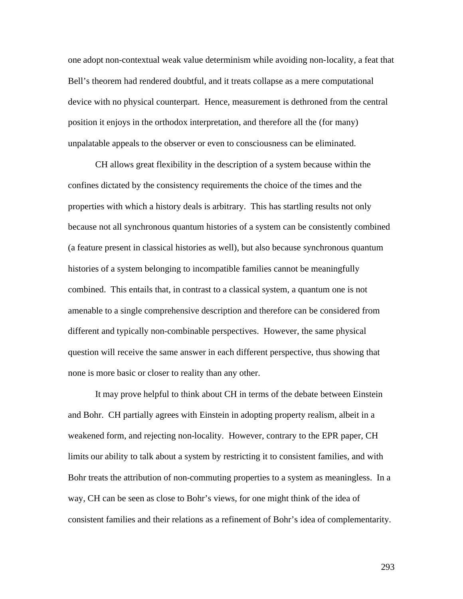one adopt non-contextual weak value determinism while avoiding non-locality, a feat that Bell's theorem had rendered doubtful, and it treats collapse as a mere computational device with no physical counterpart. Hence, measurement is dethroned from the central position it enjoys in the orthodox interpretation, and therefore all the (for many) unpalatable appeals to the observer or even to consciousness can be eliminated.

CH allows great flexibility in the description of a system because within the confines dictated by the consistency requirements the choice of the times and the properties with which a history deals is arbitrary. This has startling results not only because not all synchronous quantum histories of a system can be consistently combined (a feature present in classical histories as well), but also because synchronous quantum histories of a system belonging to incompatible families cannot be meaningfully combined. This entails that, in contrast to a classical system, a quantum one is not amenable to a single comprehensive description and therefore can be considered from different and typically non-combinable perspectives. However, the same physical question will receive the same answer in each different perspective, thus showing that none is more basic or closer to reality than any other.

It may prove helpful to think about CH in terms of the debate between Einstein and Bohr. CH partially agrees with Einstein in adopting property realism, albeit in a weakened form, and rejecting non-locality. However, contrary to the EPR paper, CH limits our ability to talk about a system by restricting it to consistent families, and with Bohr treats the attribution of non-commuting properties to a system as meaningless. In a way, CH can be seen as close to Bohr's views, for one might think of the idea of consistent families and their relations as a refinement of Bohr's idea of complementarity.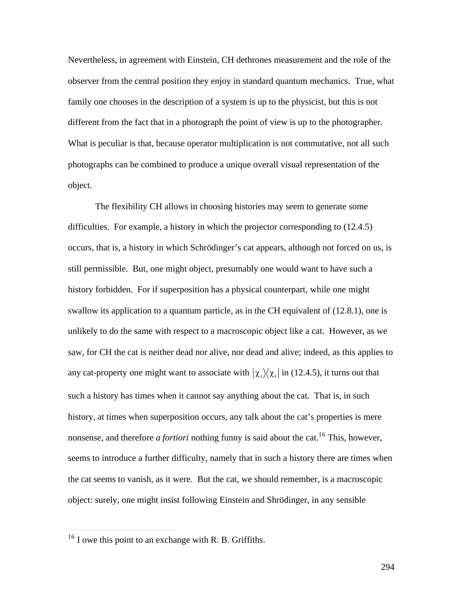Nevertheless, in agreement with Einstein, CH dethrones measurement and the role of the observer from the central position they enjoy in standard quantum mechanics. True, what family one chooses in the description of a system is up to the physicist, but this is not different from the fact that in a photograph the point of view is up to the photographer. What is peculiar is that, because operator multiplication is not commutative, not all such photographs can be combined to produce a unique overall visual representation of the object.

The flexibility CH allows in choosing histories may seem to generate some difficulties. For example, a history in which the projector corresponding to (12.4.5) occurs, that is, a history in which Schrödinger's cat appears, although not forced on us, is still permissible. But, one might object, presumably one would want to have such a history forbidden. For if superposition has a physical counterpart, while one might swallow its application to a quantum particle, as in the CH equivalent of (12.8.1), one is unlikely to do the same with respect to a macroscopic object like a cat. However, as we saw, for CH the cat is neither dead nor alive, nor dead and alive; indeed, as this applies to any cat-property one might want to associate with  $|\chi_i\rangle\langle\chi_i|$  in (12.4.5), it turns out that history, at times when superposition occurs, any talk about the cat's properties is mere such a history has times when it cannot say anything about the cat. That is, in such nonsense, and therefore *a fortiori* nothing funny is said about the cat.<sup>16</sup> This, however, seems to introduce a further difficulty, namely that in such a history there are times when the cat seems to vanish, as it were. But the cat, we should remember, is a macroscopic object: surely, one might insist following Einstein and Shrödinger, in any sensible

 $\overline{a}$ 

 $16$  I owe this point to an exchange with R. B. Griffiths.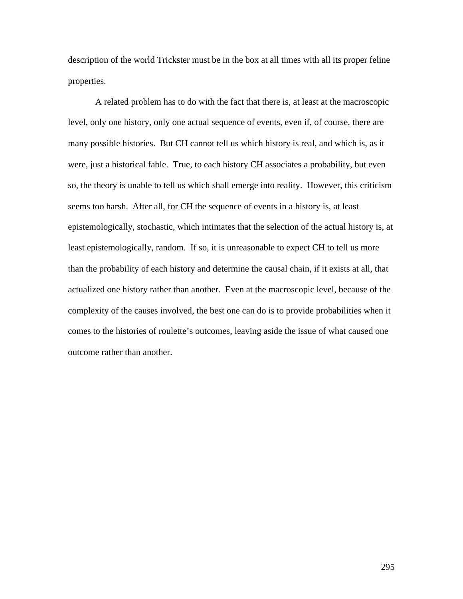description of the world Trickster must be in the box at all times with all its proper feline properties.

A related problem has to do with the fact that there is, at least at the macroscopic level, only one history, only one actual sequence of events, even if, of course, there are many possible histories. But CH cannot tell us which history is real, and which is, as it were, just a historical fable. True, to each history CH associates a probability, but even so, the theory is unable to tell us which shall emerge into reality. However, this criticism seems too harsh. After all, for CH the sequence of events in a history is, at least epistemologically, stochastic, which intimates that the selection of the actual history is, at least epistemologically, random. If so, it is unreasonable to expect CH to tell us more than the probability of each history and determine the causal chain, if it exists at all, that actualized one history rather than another. Even at the macroscopic level, because of the complexity of the causes involved, the best one can do is to provide probabilities when it comes to the histories of roulette's outcomes, leaving aside the issue of what caused one outcome rather than another.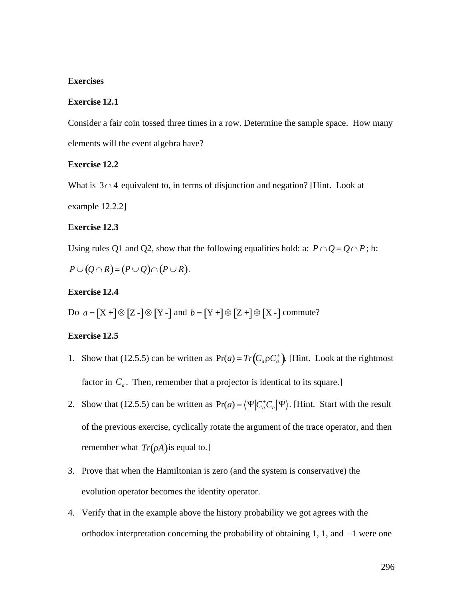# **Exercises**

#### **Exercise 12.1**

Consider a fair coin tossed three times in a row. Determine the sample space. How many elements will the event algebra have?

#### **Exercise 12.2**

What is  $3 \cap 4$  equivalent to, in terms of disjunction and negation? [Hint. Look at

example 12.2.2]

# † **Exercise 12.3**

Using rules Q1 and Q2, show that the following equalities hold: a:  $P \cap Q = Q \cap P$ ; b:

 $P \cup (Q \cap R) = (P \cup Q) \cap (P \cup R).$ 

# **Exercise 12.4**

Do  $a = [X +] \otimes [Z -] \otimes [Y -]$  and  $b = [Y +] \otimes [Z +] \otimes [X -]$  commute?

# **Exercise 12.5**

- $\mathbf{r}$ 1. Show that (12.5.5) can be written as  $Pr(a) = Tr(C_a \rho C_a^+)$ . [Hint. Look at the rightmost factor in  $C_a$ . Then, remember that a projector is identical to its square.]
- 2. Show that (12.5.5) can be written as  $Pr(a) = \langle \Psi | C_a^* C_a | \Psi \rangle$ . [Hint. Start with the result † of the previous exercise, cyclically rotate the argument of the trace operator, and then remember what  $Tr(\rho A)$  is equal to.]
- evolution operator becomes the identity operator. 3. Prove that when the Hamiltonian is zero (and the system is conservative) the
- 4. Verify that in the example above the history probability we got agrees with the orthodox interpretation concerning the probability of obtaining  $1, 1$ , and  $-1$  were one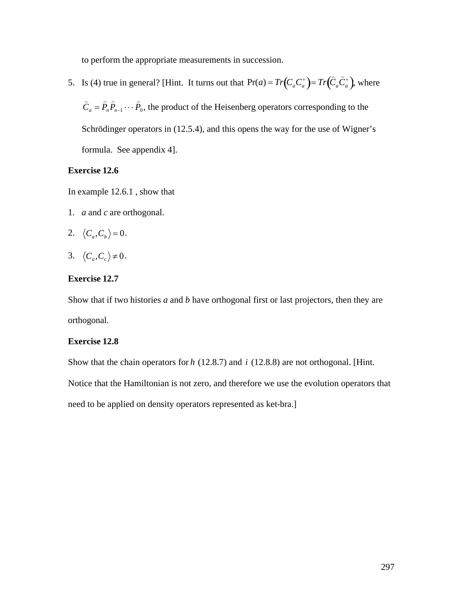to perform the appropriate measurements in succession.

5. Is (4) true in general? [Hint. It turns out that  $Pr(a) = Tr(C_a C_a^+) = Tr(\hat{C}_a \hat{C}_a^+)$ , where

Schrödinger operators in (12.5.4), and this opens the way for the use of Wigner's  $\hat{C}_a = \hat{P}_n \hat{P}_{n-1} \cdots \hat{P}_0$ , the product of the Heisenberg operators corresponding to the formula. See appendix 4].

# **Exercise 12.6**

In example 12.6.1 , show that

1. *a* and *c* are orthogonal.

2. 
$$
\langle C_a, C_b \rangle = 0
$$
.

$$
3. \ \ \langle C_a, C_c \rangle \neq 0.
$$

#### $\mathbb{R}^n$ **Exercise 12.7**

† Show that if two histories *a* and *b* have orthogonal first or last projectors, then they are orthogonal.

# **Exercise 12.8**

Show that the chain operators for *h* (12.8.7) and *i* (12.8.8) are not orthogonal. [Hint. need to be applied on density operators represented as ket-bra.] Notice that the Hamiltonian is not zero, and therefore we use the evolution operators that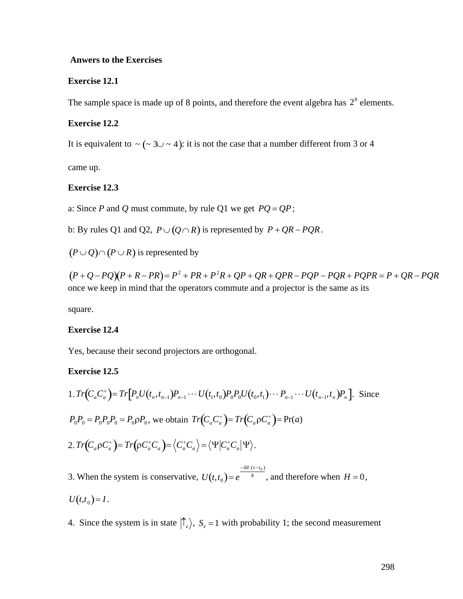# **Anwers to the Exercises**

#### **Exercise 12.1**

The sample space is made up of 8 points, and therefore the event algebra has  $2<sup>8</sup>$  elements.

#### **Exercise 12.2**

It is equivalent to  $\sim (\sim 3 \cup \sim 4)$ : it is not the case that a number different from 3 or 4

came up.

# † **Exercise 12.3**

a: Since *P* and *Q* must commute, by rule Q1 we get  $PQ = QP$ ;

b: By rules Q1 and Q2,  $P \cup (Q \cap R)$  is represented by  $P + QR - PQR$ .

 $(P \cup Q) \cap (P \cup R)$  is represented by

 $\left(\mathbf{p} \cdot \mathbf{p} \cdot \mathbf{p}\right)$   $\left(\mathbf{p}^2 \cdot \mathbf{p} \cdot \mathbf{p}^2\right)$ (*P* + *Q* - *PQ*)(*P* + *R* - *PR*)= *P* <sup>2</sup> + *PR* + *P* <sup>2</sup>*R* + *QP* + *QR* + *QPR* - *PQP* - *PQR* + *PQPR* = *P* + *QR* - *PQR* once we keep in mind that the operators commute and a projector is the same as its

square.

# **Exercise 12.4**

Yes, because their second projectors are orthogonal.

#### **Exercise 12.5**

1. 
$$
Tr(C_a C_a^+) = Tr[P_n U(t_n, t_{n-1}) P_{n-1} \cdots U(t_1, t_0) P_0 P_0 U(t_0, t_1) \cdots P_{n-1} \cdots U(t_{n-1}, t_n) P_n]
$$
. Since  
\n $P_0 P_0 = P_0 P_0 P_0 = P_0 \rho P_0$ , we obtain  $Tr(C_a C_a^+) = Tr(C_a \rho C_a^+) = Pr(a)$   
\n2.  $Tr(C_a \rho C_a^+) = Tr(\rho C_a^+ C_a) = \langle C_a^+ C_a \rangle = \langle \Psi | C_a^+ C_a | \Psi \rangle$ .  
\n3. When the system is conservative,  $U(t, t_0) = e^{\frac{-iH \cdot (t - t_0)}{\hbar}}$ , and therefore when  $H = 0$ ,

 $U(t,t_0) = I$ .

 $\uparrow$   $\uparrow$   $\uparrow$   $\uparrow$   $\uparrow$   $\uparrow$   $\uparrow$   $\uparrow$   $\uparrow$   $\uparrow$   $\uparrow$   $\uparrow$   $\uparrow$   $\uparrow$   $\uparrow$   $\uparrow$   $\uparrow$   $\uparrow$   $\uparrow$   $\uparrow$   $\uparrow$   $\uparrow$   $\uparrow$   $\uparrow$   $\uparrow$   $\uparrow$   $\uparrow$   $\uparrow$   $\uparrow$   $\uparrow$   $\uparrow$   $\uparrow$   $\uparrow$   $\uparrow$   $\uparrow$   $\uparrow$   $\uparrow$ 4. Since the system is in state  $\left\langle \frac{n}{2} \right\rangle$ ,  $S_z = 1$  with probability 1; the second measurement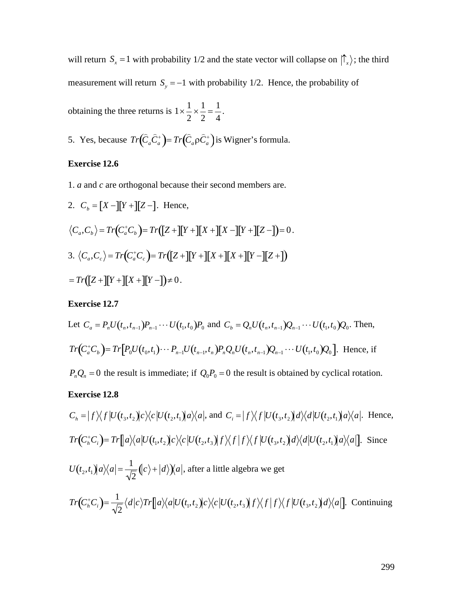will return  $S_x = 1$  with probability 1/2 and the state vector will collapse on  $\left| \int_{x} \right\rangle$ ; the third measurement will return  $S_y = -1$  with probability 1/2. Hence, the probability of

obtaining the three returns is  $1 \times \frac{1}{2} \times \frac{1}{2} = \frac{1}{4}$ . 2 2 4  $\times \frac{1}{2} = \frac{1}{4}.$ 4 .

5. Yes, because  $Tr(\hat{C}_a \hat{C}_a^+) = Tr(\hat{C}_a \rho \hat{C}_a^+)$  is Wigner's formula.

# **Exercise 12.6**

1.  $a$  and  $c$  are orthogonal because their second members are.

2. 
$$
C_b = [X -][Y +][Z -]
$$
. Hence,  
\n $\langle C_a, C_b \rangle = Tr(C_a^* C_b) = Tr([Z +][Y +][X +][X -][Y +][Z -]) = 0.$   
\n3.  $\langle C_a, C_c \rangle = Tr(C_a^* C_c) = Tr([Z +][Y +][X +][X +][Y -][Z +])$   
\n $= Tr([Z +][Y +][X +][Y -]) \neq 0.$ 

# **Exercise 12.7**

Let 
$$
C_a = P_n U(t_n, t_{n-1}) P_{n-1} \cdots U(t_1, t_0) P_0
$$
 and  $C_b = Q_n U(t_n, t_{n-1}) Q_{n-1} \cdots U(t_1, t_0) Q_0$ . Then,  
\n
$$
Tr(C_a^+ C_b) = Tr[P_0 U(t_0, t_1) \cdots P_{n-1} U(t_{n-1}, t_n) P_n Q_n U(t_n, t_{n-1}) Q_{n-1} \cdots U(t_1, t_0) Q_0].
$$
 Hence, if  
\n $P_n Q_n = 0$  the result is immediate; if  $Q_0 P_0 = 0$  the result is obtained by cyclical rotation.

**Exercise 12.8**

$$
C_h = |f\rangle\langle f|U(t_3, t_2)|c\rangle\langle c|U(t_2, t_1)|a\rangle\langle a|, \text{ and } C_i = |f\rangle\langle f|U(t_3, t_2)|a\rangle\langle d|U(t_2, t_1)|a\rangle\langle a|.
$$
 Hence,  
\n
$$
Tr(C_h^*C_i) = Tr[|a\rangle\langle a|U(t_1, t_2)|c\rangle\langle c|U(t_2, t_3)|f\rangle\langle f|f\rangle\langle f|U(t_3, t_2)|d\rangle\langle d|U(t_2, t_1)|a\rangle\langle a|].
$$
 Since  
\n
$$
U(t_2, t_1)|a\rangle\langle a| = \frac{1}{\sqrt{2}}(|c\rangle + |d\rangle\langle a|, \text{ after a little algebra we get}
$$
\n
$$
Tr(C_h^*C_i) = \frac{1}{\sqrt{2}}\langle d|c\rangle Tr[|a\rangle\langle a|U(t_1, t_2)|c\rangle\langle c|U(t_2, t_3)|f\rangle\langle f|f\rangle\langle f|U(t_3, t_2)|d\rangle\langle a|].
$$
 Continuing